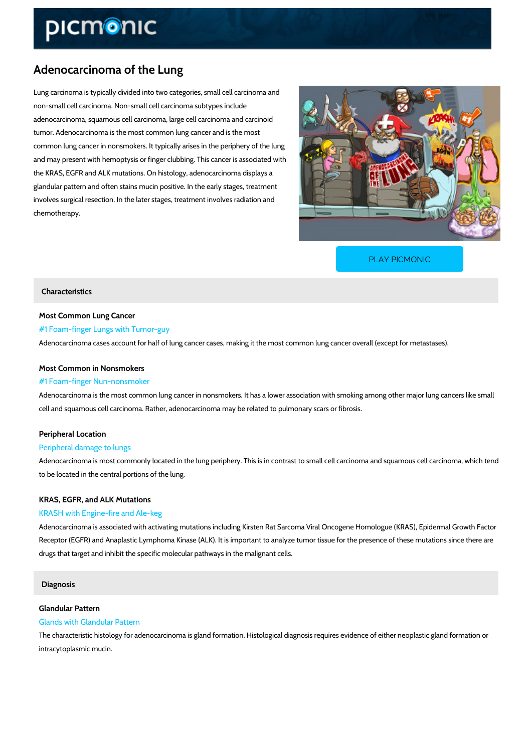## Adenocarcinoma of the Lung

Lung carcinoma is typically divided into two categories, small cell carcinoma and non-small cell carcinoma. Non-small cell carcinoma subtypes include adenocarcinoma, squamous cell carcinoma, large cell carcinoma and carcinoid tumor. Adenocarcinoma is the most common lung cancer and is the most common lung cancer in nonsmokers. It typically arises in the periphery of the lung and may present with hemoptysis or finger clubbing. This cancer is associated with the KRAS, EGFR and ALK mutations. On histology, adenocarcinoma displays a glandular pattern and often stains mucin positive. In the early stages, treatment involves surgical resection. In the later stages, treatment involves radiation and chemotherapy.

[PLAY PICMONIC](https://www.picmonic.com/learn/adenocarcinoma-of-the-lung_2530?utm_source=downloadable_content&utm_medium=distributedcontent&utm_campaign=pathways_pdf&utm_content=Adenocarcinoma of the Lung&utm_ad_group=leads&utm_market=all)

#### Characteristics

Most Common Lung Cancer #1 Foam-finger Lungs with Tumor-guy Adenocarcinoma cases account for half of lung cancer cases, making it the most common lung

# Most Common in Nonsmokers

#### #1 Foam-finger Nun-nonsmoker

Adenocarcinoma is the most common lung cancer in nonsmokers. It has a lower association wi cell and squamous cell carcinoma. Rather, adenocarcinoma may be related to pulmonary scars

### Peripheral Location

#### Peripheral damage to lungs

Adenocarcinoma is most commonly located in the lung periphery. This is in contrast to small c to be located in the central portions of the lung.

## KRAS, EGFR, and ALK Mutations KRASH with Engine-fire and Ale-keg

Adenocarcinoma is associated with activating mutations including Kirsten Rat Sarcoma Viral C Receptor (EGFR) and Anaplastic Lymphoma Kinase (ALK). It is important to analyze tumor tiss drugs that target and inhibit the specific molecular pathways in the malignant cells.

### Diagnosis

#### Glandular Pattern Glands with Glandular Pattern

The characteristic histology for adenocarcinoma is gland formation. Histological diagnosis req intracytoplasmic mucin.